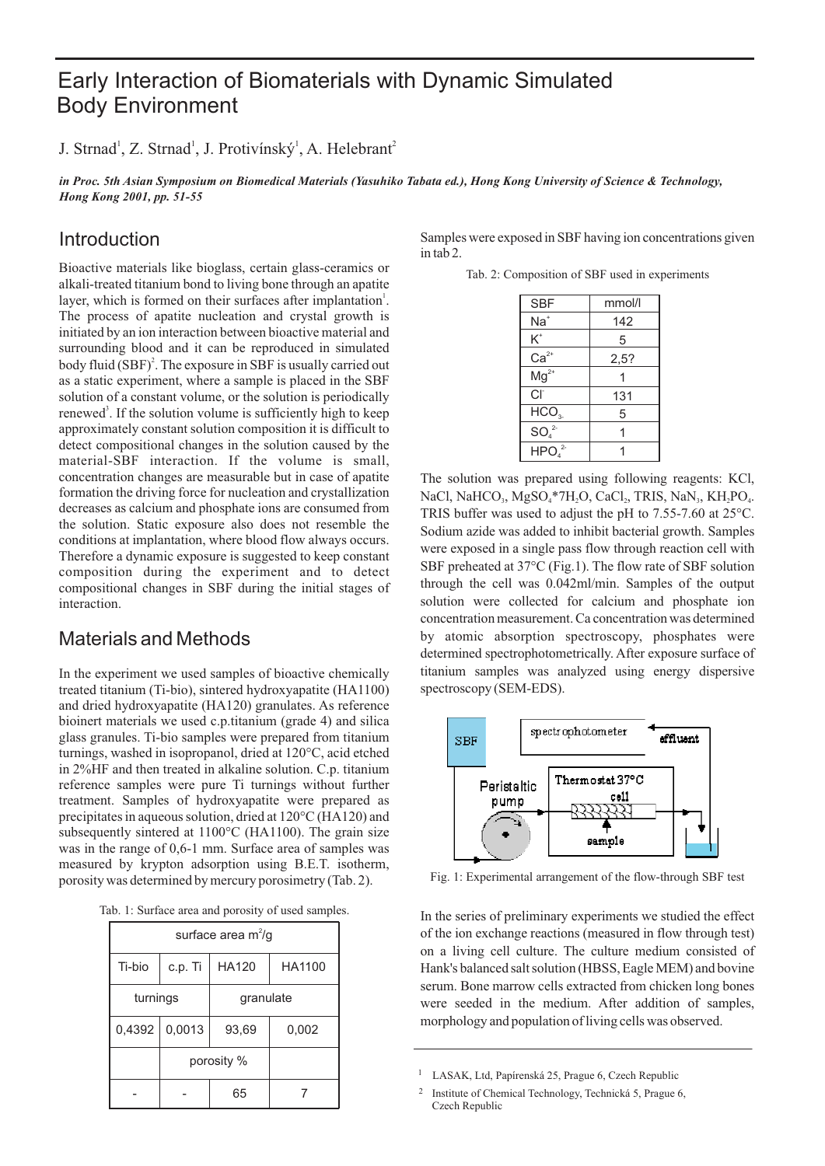# Early Interaction of Biomaterials with Dynamic Simulated Body Environment

J. Strnad<sup>1</sup>, Z. Strnad<sup>1</sup>, J. Protivínský<sup>1</sup>, A. Helebrant<sup>2</sup>

*in Proc. 5th Asian Symposium on Biomedical Materials (Yasuhiko Tabata ed.), Hong Kong University of Science & Technology, Hong Kong 2001, pp. 51-55*

## Introduction

Bioactive materials like bioglass, certain glass-ceramics or alkali-treated titanium bond to living bone through an apatite layer, which is formed on their surfaces after implantation<sup>1</sup>. The process of apatite nucleation and crystal growth is initiated by an ion interaction between bioactive material and surrounding blood and it can be reproduced in simulated body fluid  $(SBF)^2$ . The exposure in SBF is usually carried out as a static experiment, where a sample is placed in the SBF solution of a constant volume, or the solution is periodically renewed<sup>3</sup>. If the solution volume is sufficiently high to keep approximately constant solution composition it is difficult to detect compositional changes in the solution caused by the material-SBF interaction. If the volume is small, concentration changes are measurable but in case of apatite formation the driving force for nucleation and crystallization decreases as calcium and phosphate ions are consumed from the solution. Static exposure also does not resemble the conditions at implantation, where blood flow always occurs. Therefore a dynamic exposure is suggested to keep constant composition during the experiment and to detect compositional changes in SBF during the initial stages of interaction.

### Materials and Methods

In the experiment we used samples of bioactive chemically treated titanium (Ti-bio), sintered hydroxyapatite (HA1100) and dried hydroxyapatite (HA120) granulates. As reference bioinert materials we used c.p.titanium (grade 4) and silica glass granules. Ti-bio samples were prepared from titanium turnings, washed in isopropanol, dried at 120°C, acid etched in 2%HF and then treated in alkaline solution. C.p. titanium reference samples were pure Ti turnings without further treatment. Samples of hydroxyapatite were prepared as precipitates in aqueous solution, dried at 120°C (HA120) and subsequently sintered at 1100°C (HA1100). The grain size was in the range of 0,6-1 mm. Surface area of samples was measured by krypton adsorption using B.E.T. isotherm, porosity was determined by mercury porosimetry (Tab. 2).

|  |  |  |  |  | Tab. 1: Surface area and porosity of used samples. |  |  |  |  |
|--|--|--|--|--|----------------------------------------------------|--|--|--|--|
|--|--|--|--|--|----------------------------------------------------|--|--|--|--|

| surface area $m^2/g$ |         |              |        |  |  |
|----------------------|---------|--------------|--------|--|--|
| Ti-bio               | c.p. Ti | <b>HA120</b> | HA1100 |  |  |
| turnings             |         | granulate    |        |  |  |
| 0,4392               | 0,0013  | 93,69        | 0,002  |  |  |
|                      |         | porosity %   |        |  |  |
|                      |         | 65           |        |  |  |

Samples were exposed in SBF having ion concentrations given in tab 2.

Tab. 2: Composition of SBF used in experiments

| <b>SBF</b>                    | mmol/l |
|-------------------------------|--------|
| Na†                           | 142    |
| K*                            | 5      |
| $Ca2+$                        | 2,5?   |
| $Mg^{2+}$                     |        |
| Cľ                            | 131    |
| HCO <sub>3</sub>              | 5      |
| SO <sub>4</sub> <sup>2</sup>  |        |
| HPO <sub>4</sub> <sup>2</sup> |        |

The solution was prepared using following reagents: KCl, NaCl, NaHCO<sub>3</sub>, MgSO<sub>4</sub>\*7H<sub>2</sub>O, CaCl<sub>2</sub>, TRIS, NaN<sub>3</sub>, KH<sub>2</sub>PO<sub>4</sub>. TRIS buffer was used to adjust the pH to 7.55-7.60 at 25°C. Sodium azide was added to inhibit bacterial growth. Samples were exposed in a single pass flow through reaction cell with SBF preheated at 37°C (Fig.1). The flow rate of SBF solution through the cell was 0.042ml/min. Samples of the output solution were collected for calcium and phosphate ion concentration measurement. Ca concentration was determined by atomic absorption spectroscopy, phosphates were determined spectrophotometrically. After exposure surface of titanium samples was analyzed using energy dispersive spectroscopy (SEM-EDS).



Fig. 1: Experimental arrangement of the flow-through SBF test

In the series of preliminary experiments we studied the effect of the ion exchange reactions (measured in flow through test) on a living cell culture. The culture medium consisted of Hank's balanced salt solution (HBSS, Eagle MEM) and bovine serum. Bone marrow cells extracted from chicken long bones were seeded in the medium. After addition of samples, morphology and population of living cells was observed.

<sup>&</sup>lt;sup>1</sup> LASAK, Ltd, Papírenská 25, Prague 6, Czech Republic

<sup>2</sup> Institute of Chemical Technology, Technická 5, Prague 6, Czech Republic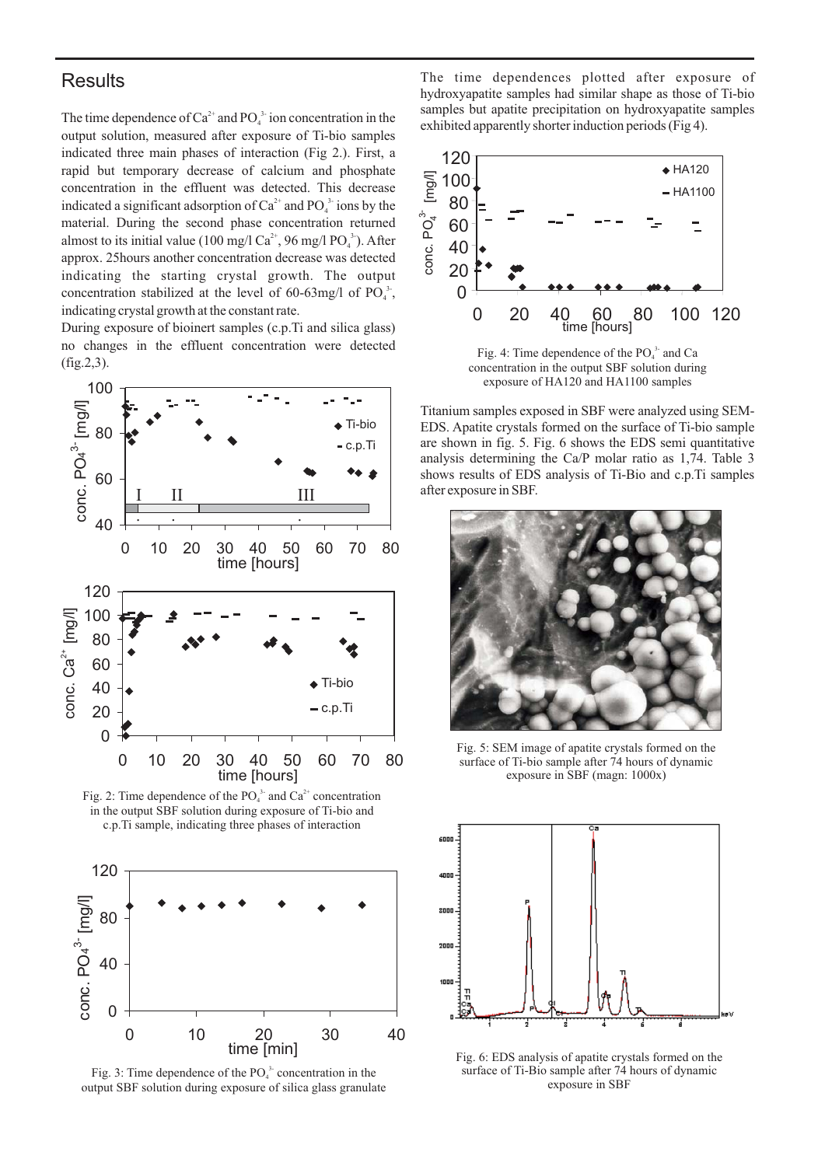#### **Results**

The time dependence of  $Ca^{2+}$  and PO<sub>4</sub><sup>3-</sup> ion concentration in the output solution, measured after exposure of Ti-bio samples indicated three main phases of interaction (Fig 2.). First, a rapid but temporary decrease of calcium and phosphate concentration in the effluent was detected. This decrease indicated a significant adsorption of  $Ca^{2+}$  and  $PO_4^{3+}$  ions by the material. During the second phase concentration returned almost to its initial value (100 mg/l Ca<sup>2+</sup>, 96 mg/l PO<sub>4</sub><sup>-3</sup>). After approx. 25hours another concentration decrease was detected indicating the starting crystal growth. The output concentration stabilized at the level of 60-63mg/l of  $PO_4^3$ , indicating crystal growth at the constant rate.

During exposure of bioinert samples (c.p.Ti and silica glass) no changes in the effluent concentration were detected (fig.2,3).



Fig. 2: Time dependence of the  $PO_4^3$  and  $Ca^{2+}$  concentration in the output SBF solution during exposure of Ti-bio and c.p.Ti sample, indicating three phases of interaction



Fig. 3: Time dependence of the  $PO<sub>4</sub><sup>3</sup>$  concentration in the output SBF solution during exposure of silica glass granulate <sup>4</sup>

The time dependences plotted after exposure of hydroxyapatite samples had similar shape as those of Ti-bio samples but apatite precipitation on hydroxyapatite samples exhibited apparently shorter induction periods (Fig 4).



concentration in the output SBF solution during exposure of HA120 and HA1100 samples

Titanium samples exposed in SBF were analyzed using SEM-EDS. Apatite crystals formed on the surface of Ti-bio sample are shown in fig. 5. Fig. 6 shows the EDS semi quantitative analysis determining the Ca/P molar ratio as 1,74. Table 3 shows results of EDS analysis of Ti-Bio and c.p.Ti samples after exposure in SBF.



Fig. 5: SEM image of apatite crystals formed on the surface of Ti-bio sample after 74 hours of dynamic exposure in SBF (magn: 1000x)



Fig. 6: EDS analysis of apatite crystals formed on the surface of Ti-Bio sample after 74 hours of dynamic exposure in SBF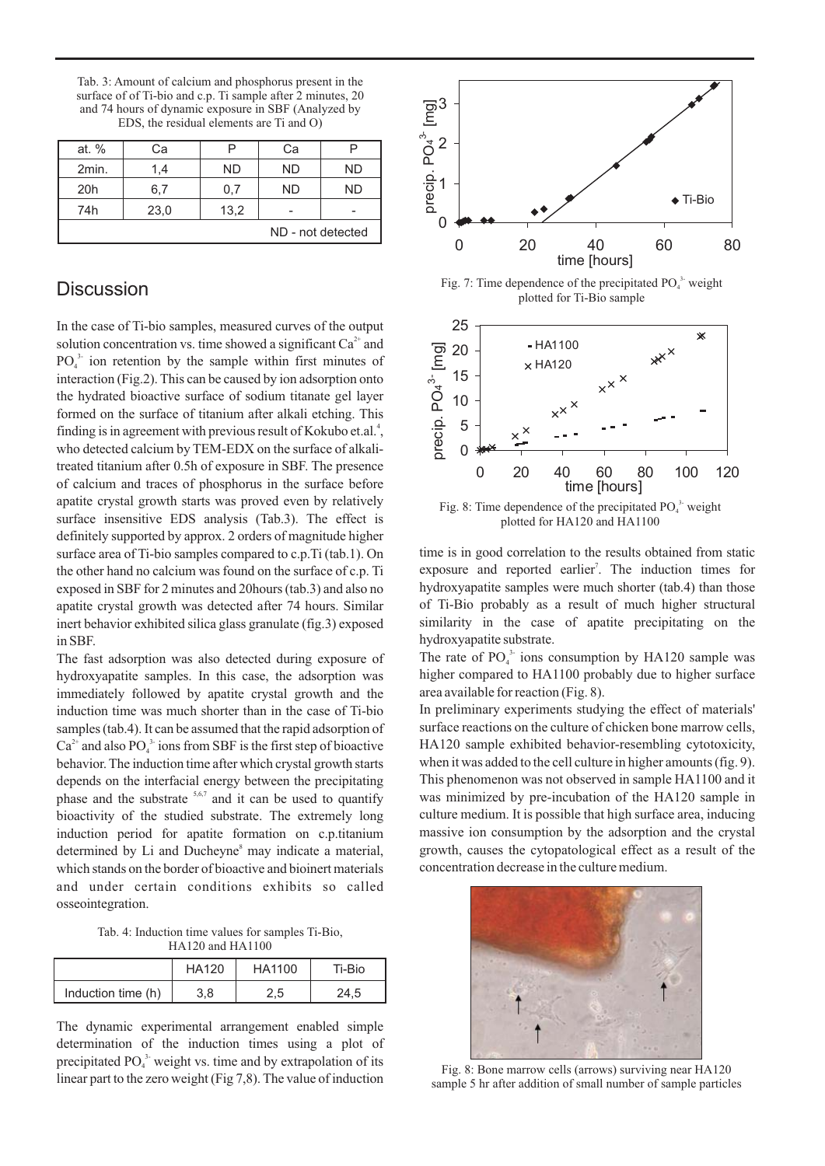Tab. 3: Amount of calcium and phosphorus present in the surface of of Ti-bio and c.p. Ti sample after 2 minutes, 20 and 74 hours of dynamic exposure in SBF (Analyzed by EDS, the residual elements are Ti and O)

| at. %             | Сa   |      | Сa        |    |  |
|-------------------|------|------|-----------|----|--|
| 2min.             | 1,4  | ND   | <b>ND</b> | ND |  |
| 20 <sub>h</sub>   | 6,7  | 0,7  | ND.       | ND |  |
| 74h               | 23,0 | 13,2 |           |    |  |
| ND - not detected |      |      |           |    |  |

### **Discussion**

In the case of Ti-bio samples, measured curves of the output solution concentration vs. time showed a significant  $Ca^{2+}$  and  $PO_4^3$  ion retention by the sample within first minutes of interaction (Fig.2). This can be caused by ion adsorption onto the hydrated bioactive surface of sodium titanate gel layer formed on the surface of titanium after alkali etching. This finding is in agreement with previous result of Kokubo et.al.<sup>4</sup>, who detected calcium by TEM-EDX on the surface of alkalitreated titanium after 0.5h of exposure in SBF. The presence of calcium and traces of phosphorus in the surface before apatite crystal growth starts was proved even by relatively surface insensitive EDS analysis (Tab.3). The effect is definitely supported by approx. 2 orders of magnitude higher surface area of Ti-bio samples compared to c.p.Ti (tab.1). On the other hand no calcium was found on the surface of c.p. Ti exposed in SBF for 2 minutes and 20hours (tab.3) and also no apatite crystal growth was detected after 74 hours. Similar inert behavior exhibited silica glass granulate (fig.3) exposed in SBF.

The fast adsorption was also detected during exposure of hydroxyapatite samples. In this case, the adsorption was immediately followed by apatite crystal growth and the induction time was much shorter than in the case of Ti-bio samples (tab.4). It can be assumed that the rapid adsorption of  $Ca^{2+}$  and also PO<sub>4</sub><sup>3</sup> ions from SBF is the first step of bioactive behavior. The induction time after which crystal growth starts depends on the interfacial energy between the precipitating phase and the substrate  $5,6,7$  and it can be used to quantify bioactivity of the studied substrate. The extremely long induction period for apatite formation on c.p.titanium determined by Li and Ducheyne<sup>8</sup> may indicate a material, which stands on the border of bioactive and bioinert materials and under certain conditions exhibits so called osseointegration.

Tab. 4: Induction time values for samples Ti-Bio, HA120 and HA1100

|                    | <b>HA120</b> | HA1100 | Ti-Bio |
|--------------------|--------------|--------|--------|
| Induction time (h) | 3,8          | 2,5    | 24.5   |

The dynamic experimental arrangement enabled simple determination of the induction times using a plot of precipitated  $PO_4^3$  weight vs. time and by extrapolation of its linear part to the zero weight (Fig 7,8). The value of induction



Fig. 7: Time dependence of the precipitated  $PO<sub>4</sub><sup>3</sup>$  weight plotted for Ti-Bio sample <sup>4</sup>



time is in good correlation to the results obtained from static exposure and reported earlier<sup>7</sup>. The induction times for hydroxyapatite samples were much shorter (tab.4) than those of Ti-Bio probably as a result of much higher structural similarity in the case of apatite precipitating on the hydroxyapatite substrate.

The rate of  $PO_4^3$  ions consumption by HA120 sample was higher compared to HA1100 probably due to higher surface area available for reaction (Fig. 8).

In preliminary experiments studying the effect of materials' surface reactions on the culture of chicken bone marrow cells, HA120 sample exhibited behavior-resembling cytotoxicity, when it was added to the cell culture in higher amounts (fig. 9). This phenomenon was not observed in sample HA1100 and it was minimized by pre-incubation of the HA120 sample in culture medium. It is possible that high surface area, inducing massive ion consumption by the adsorption and the crystal growth, causes the cytopatological effect as a result of the concentration decrease in the culture medium.



Fig. 8: Bone marrow cells (arrows) surviving near HA120 sample 5 hr after addition of small number of sample particles